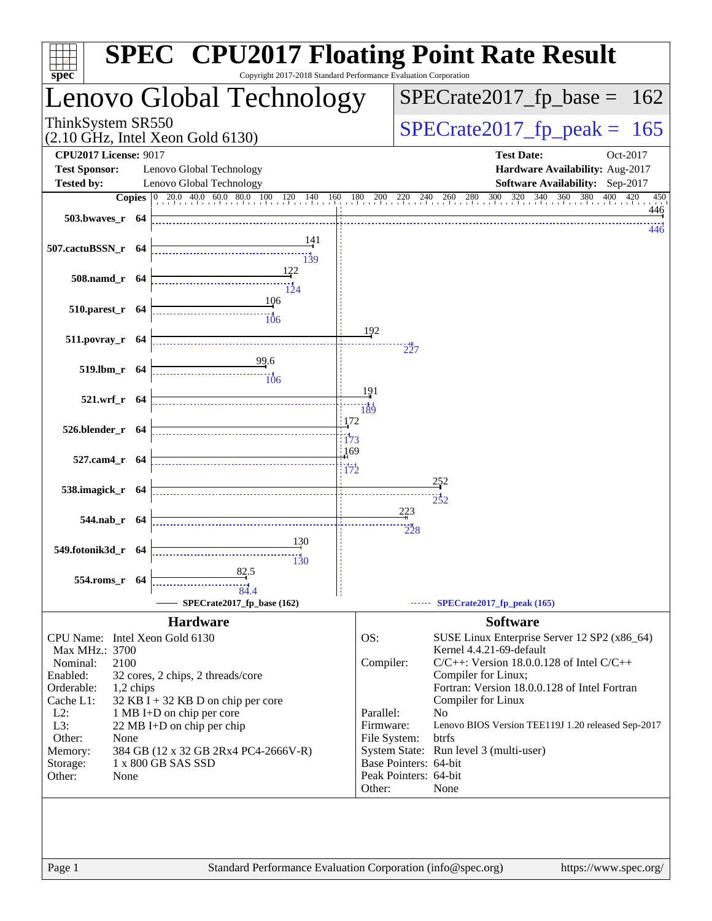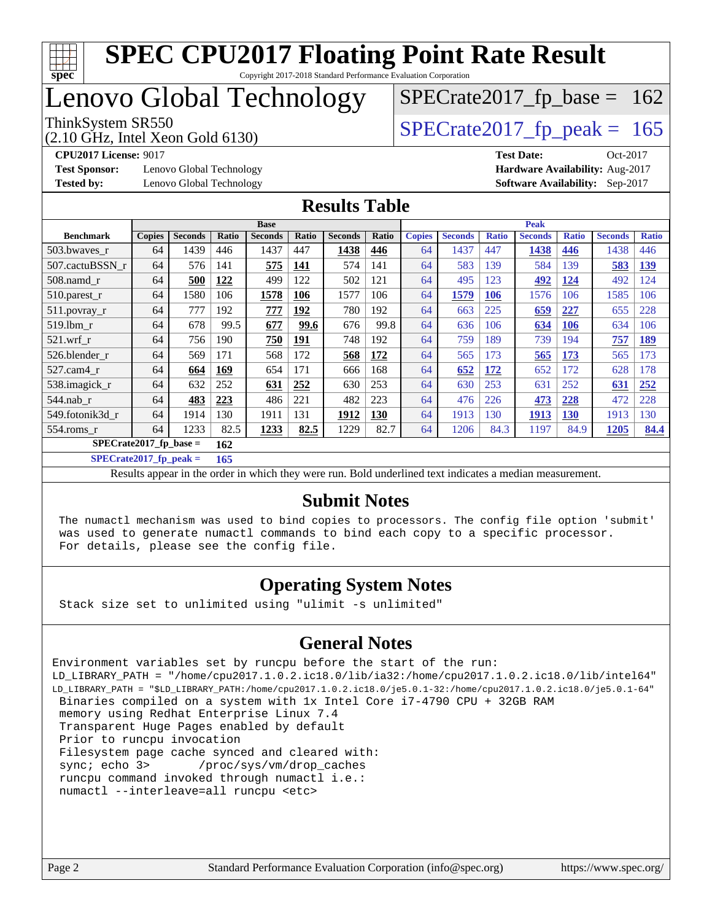

# **[SPEC CPU2017 Floating Point Rate Result](http://www.spec.org/auto/cpu2017/Docs/result-fields.html#SPECCPU2017FloatingPointRateResult)**

Copyright 2017-2018 Standard Performance Evaluation Corporation

# Lenovo Global Technology

(2.10 GHz, Intel Xeon Gold 6130)

ThinkSystem SR550<br>(2.10 GHz, Intel Xeon Gold 6130) [SPECrate2017\\_fp\\_peak =](http://www.spec.org/auto/cpu2017/Docs/result-fields.html#SPECrate2017fppeak) 165

 $SPECTate2017_fp\_base = 162$ 

**[Test Sponsor:](http://www.spec.org/auto/cpu2017/Docs/result-fields.html#TestSponsor)** Lenovo Global Technology **[Hardware Availability:](http://www.spec.org/auto/cpu2017/Docs/result-fields.html#HardwareAvailability)** Aug-2017

**[CPU2017 License:](http://www.spec.org/auto/cpu2017/Docs/result-fields.html#CPU2017License)** 9017 **[Test Date:](http://www.spec.org/auto/cpu2017/Docs/result-fields.html#TestDate)** Oct-2017 **[Tested by:](http://www.spec.org/auto/cpu2017/Docs/result-fields.html#Testedby)** Lenovo Global Technology **[Software Availability:](http://www.spec.org/auto/cpu2017/Docs/result-fields.html#SoftwareAvailability)** Sep-2017

#### **[Results Table](http://www.spec.org/auto/cpu2017/Docs/result-fields.html#ResultsTable)**

|                                 | <b>Base</b>   |                |       |                | <b>Peak</b>  |                |            |               |                |              |                |              |                |              |
|---------------------------------|---------------|----------------|-------|----------------|--------------|----------------|------------|---------------|----------------|--------------|----------------|--------------|----------------|--------------|
| <b>Benchmark</b>                | <b>Copies</b> | <b>Seconds</b> | Ratio | <b>Seconds</b> | <b>Ratio</b> | <b>Seconds</b> | Ratio      | <b>Copies</b> | <b>Seconds</b> | <b>Ratio</b> | <b>Seconds</b> | <b>Ratio</b> | <b>Seconds</b> | <b>Ratio</b> |
| 503.bwaves_r                    | 64            | 1439           | 446   | 1437           | 447          | 1438           | 446        | 64            | 1437           | 447          | 1438           | 446          | 1438           | 446          |
| 507.cactuBSSN r                 | 64            | 576            | 141   | 575            | <b>141</b>   | 574            | 141        | 64            | 583            | 139          | 584            | 139          | 583            | <u>139</u>   |
| $508$ .namd $r$                 | 64            | 500            | 122   | 499            | 122          | 502            | 121        | 64            | 495            | 123          | 492            | 124          | 492            | 124          |
| 510.parest_r                    | 64            | 1580           | 106   | 1578           | 106          | 1577           | 106        | 64            | 1579           | 106          | 1576           | 106          | 1585           | 106          |
| 511.povray_r                    | 64            | 777            | 192   | 777            | 192          | 780            | 192        | 64            | 663            | 225          | 659            | <u>227</u>   | 655            | 228          |
| 519.lbm r                       | 64            | 678            | 99.5  | 677            | 99.6         | 676            | 99.8       | 64            | 636            | 106          | 634            | 106          | 634            | 106          |
| $521$ .wrf r                    | 64            | 756            | 190   | 750            | 191          | 748            | 192        | 64            | 759            | 189          | 739            | 194          | 757            | <u>189</u>   |
| 526.blender r                   | 64            | 569            | 171   | 568            | 172          | 568            | <u>172</u> | 64            | 565            | 173          | 565            | <u>173</u>   | 565            | 173          |
| 527.cam4 r                      | 64            | 664            | 169   | 654            | 171          | 666            | 168        | 64            | 652            | 172          | 652            | 172          | 628            | 178          |
| 538.imagick_r                   | 64            | 632            | 252   | 631            | 252          | 630            | 253        | 64            | 630            | 253          | 631            | 252          | 631            | 252          |
| $544$ .nab_r                    | 64            | 483            | 223   | 486            | 221          | 482            | 223        | 64            | 476            | 226          | 473            | 228          | 472            | 228          |
| 549.fotonik3d r                 | 64            | 1914           | 130   | 1911           | 131          | 1912           | 130        | 64            | 1913           | 130          | 1913           | <b>130</b>   | 1913           | 130          |
| $554$ .roms $r$                 | 64            | 1233           | 82.5  | 1233           | 82.5         | 1229           | 82.7       | 64            | 1206           | 84.3         | 1197           | 84.9         | 1205           | 84.4         |
| $SPECrate2017$ fp base =<br>162 |               |                |       |                |              |                |            |               |                |              |                |              |                |              |

**[SPECrate2017\\_fp\\_peak =](http://www.spec.org/auto/cpu2017/Docs/result-fields.html#SPECrate2017fppeak) 165**

Results appear in the [order in which they were run.](http://www.spec.org/auto/cpu2017/Docs/result-fields.html#RunOrder) Bold underlined text [indicates a median measurement.](http://www.spec.org/auto/cpu2017/Docs/result-fields.html#Median)

#### **[Submit Notes](http://www.spec.org/auto/cpu2017/Docs/result-fields.html#SubmitNotes)**

 The numactl mechanism was used to bind copies to processors. The config file option 'submit' was used to generate numactl commands to bind each copy to a specific processor. For details, please see the config file.

#### **[Operating System Notes](http://www.spec.org/auto/cpu2017/Docs/result-fields.html#OperatingSystemNotes)**

Stack size set to unlimited using "ulimit -s unlimited"

#### **[General Notes](http://www.spec.org/auto/cpu2017/Docs/result-fields.html#GeneralNotes)**

Environment variables set by runcpu before the start of the run: LD\_LIBRARY\_PATH = "/home/cpu2017.1.0.2.ic18.0/lib/ia32:/home/cpu2017.1.0.2.ic18.0/lib/intel64" LD\_LIBRARY\_PATH = "\$LD\_LIBRARY\_PATH:/home/cpu2017.1.0.2.ic18.0/je5.0.1-32:/home/cpu2017.1.0.2.ic18.0/je5.0.1-64" Binaries compiled on a system with 1x Intel Core i7-4790 CPU + 32GB RAM memory using Redhat Enterprise Linux 7.4 Transparent Huge Pages enabled by default Prior to runcpu invocation Filesystem page cache synced and cleared with: sync; echo 3> /proc/sys/vm/drop\_caches runcpu command invoked through numactl i.e.: numactl --interleave=all runcpu <etc>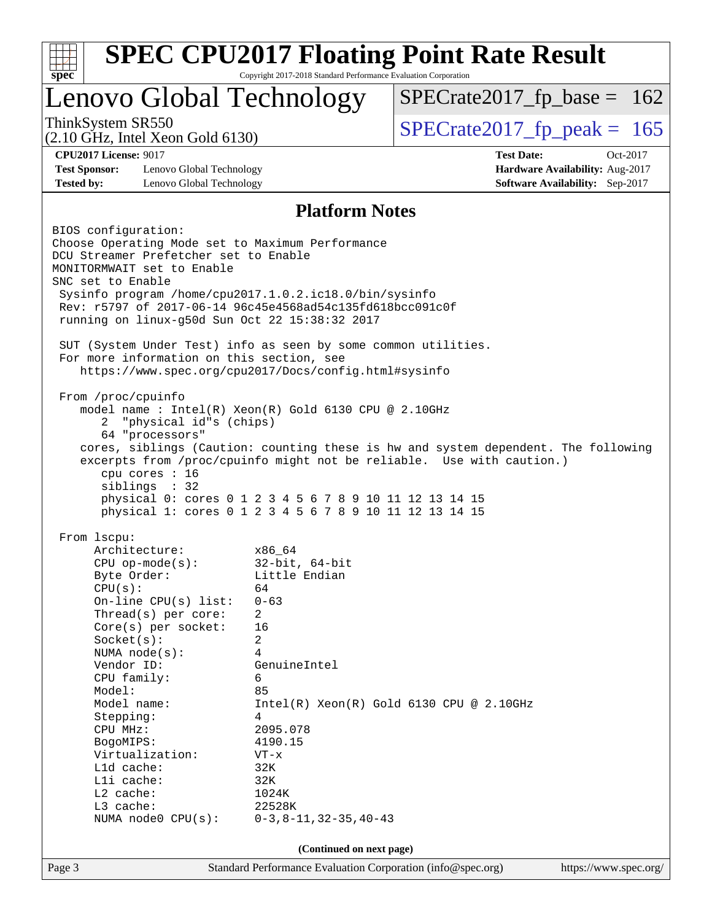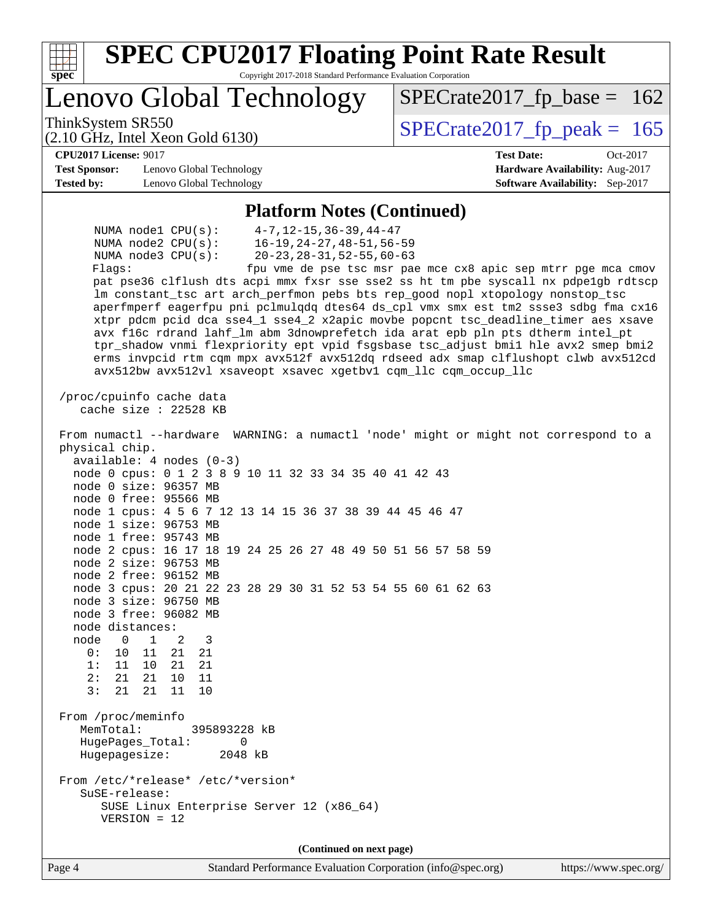| Lenovo Global Technology<br>$SPECrate2017_fp\_base = 162$<br>ThinkSystem SR550<br>$SPECTate2017$ _fp_peak = 165<br>$(2.10 \text{ GHz}, \text{Intel Xeon Gold } 6130)$<br><b>CPU2017 License: 9017</b><br><b>Test Date:</b><br>Oct-2017<br><b>Test Sponsor:</b><br>Lenovo Global Technology<br>Hardware Availability: Aug-2017<br><b>Tested by:</b><br>Software Availability: Sep-2017<br>Lenovo Global Technology<br><b>Platform Notes (Continued)</b><br>$4-7, 12-15, 36-39, 44-47$<br>NUMA nodel $CPU(s)$ :<br>$16 - 19, 24 - 27, 48 - 51, 56 - 59$<br>NUMA $node2$ $CPU(s)$ :<br>$20 - 23, 28 - 31, 52 - 55, 60 - 63$<br>NUMA node3 CPU(s):<br>Flags:<br>fpu vme de pse tsc msr pae mce cx8 apic sep mtrr pge mca cmov<br>pat pse36 clflush dts acpi mmx fxsr sse sse2 ss ht tm pbe syscall nx pdpelgb rdtscp<br>lm constant_tsc art arch_perfmon pebs bts rep_good nopl xtopology nonstop_tsc<br>aperfmperf eagerfpu pni pclmulqdq dtes64 ds_cpl vmx smx est tm2 ssse3 sdbg fma cx16<br>xtpr pdcm pcid dca sse4_1 sse4_2 x2apic movbe popcnt tsc_deadline_timer aes xsave<br>avx f16c rdrand lahf_lm abm 3dnowprefetch ida arat epb pln pts dtherm intel_pt<br>tpr_shadow vnmi flexpriority ept vpid fsgsbase tsc_adjust bmil hle avx2 smep bmi2<br>erms invpcid rtm cqm mpx avx512f avx512dq rdseed adx smap clflushopt clwb avx512cd<br>avx512bw avx512vl xsaveopt xsavec xgetbvl cqm_llc cqm_occup_llc<br>/proc/cpuinfo cache data<br>cache size : $22528$ KB<br>From numactl --hardware WARNING: a numactl 'node' might or might not correspond to a<br>physical chip.<br>$available: 4 nodes (0-3)$<br>node 0 cpus: 0 1 2 3 8 9 10 11 32 33 34 35 40 41 42 43<br>node 0 size: 96357 MB<br>node 0 free: 95566 MB<br>node 1 cpus: 4 5 6 7 12 13 14 15 36 37 38 39 44 45 46 47<br>node 1 size: 96753 MB<br>node 1 free: 95743 MB<br>node 2 cpus: 16 17 18 19 24 25 26 27 48 49 50 51 56 57 58 59<br>node 2 size: 96753 MB<br>node 2 free: 96152 MB<br>node 3 cpus: 20 21 22 23 28 29 30 31 52 53 54 55 60 61 62 63<br>node 3 size: 96750 MB<br>node 3 free: 96082 MB<br>node distances:<br>node<br>$\mathbf{0}$<br>2<br>3<br>1<br>0 :<br>21<br>10<br>11<br>21<br>1:<br>21<br>11<br>10<br>21<br>2:<br>21<br>21<br>10<br>11<br>3:<br>11<br>21<br>21<br>10<br>From /proc/meminfo<br>MemTotal:<br>395893228 kB<br>HugePages_Total:<br>0<br>Hugepagesize:<br>2048 kB<br>From /etc/*release* /etc/*version*<br>SuSE-release:<br>SUSE Linux Enterprise Server 12 (x86_64)<br>$VERSION = 12$<br>(Continued on next page)<br>Page 4<br>Standard Performance Evaluation Corporation (info@spec.org) | <b>SPEC CPU2017 Floating Point Rate Result</b><br>Copyright 2017-2018 Standard Performance Evaluation Corporation<br>$spec*$ |  |
|-------------------------------------------------------------------------------------------------------------------------------------------------------------------------------------------------------------------------------------------------------------------------------------------------------------------------------------------------------------------------------------------------------------------------------------------------------------------------------------------------------------------------------------------------------------------------------------------------------------------------------------------------------------------------------------------------------------------------------------------------------------------------------------------------------------------------------------------------------------------------------------------------------------------------------------------------------------------------------------------------------------------------------------------------------------------------------------------------------------------------------------------------------------------------------------------------------------------------------------------------------------------------------------------------------------------------------------------------------------------------------------------------------------------------------------------------------------------------------------------------------------------------------------------------------------------------------------------------------------------------------------------------------------------------------------------------------------------------------------------------------------------------------------------------------------------------------------------------------------------------------------------------------------------------------------------------------------------------------------------------------------------------------------------------------------------------------------------------------------------------------------------------------------------------------------------------------------------------------------------------------------------------------------------------------------------------------------------------------------------------------------------------------------------------------------------------------------------------------------------------------------------------------------------------------------------------------------------------|------------------------------------------------------------------------------------------------------------------------------|--|
|                                                                                                                                                                                                                                                                                                                                                                                                                                                                                                                                                                                                                                                                                                                                                                                                                                                                                                                                                                                                                                                                                                                                                                                                                                                                                                                                                                                                                                                                                                                                                                                                                                                                                                                                                                                                                                                                                                                                                                                                                                                                                                                                                                                                                                                                                                                                                                                                                                                                                                                                                                                                 |                                                                                                                              |  |
|                                                                                                                                                                                                                                                                                                                                                                                                                                                                                                                                                                                                                                                                                                                                                                                                                                                                                                                                                                                                                                                                                                                                                                                                                                                                                                                                                                                                                                                                                                                                                                                                                                                                                                                                                                                                                                                                                                                                                                                                                                                                                                                                                                                                                                                                                                                                                                                                                                                                                                                                                                                                 |                                                                                                                              |  |
|                                                                                                                                                                                                                                                                                                                                                                                                                                                                                                                                                                                                                                                                                                                                                                                                                                                                                                                                                                                                                                                                                                                                                                                                                                                                                                                                                                                                                                                                                                                                                                                                                                                                                                                                                                                                                                                                                                                                                                                                                                                                                                                                                                                                                                                                                                                                                                                                                                                                                                                                                                                                 |                                                                                                                              |  |
|                                                                                                                                                                                                                                                                                                                                                                                                                                                                                                                                                                                                                                                                                                                                                                                                                                                                                                                                                                                                                                                                                                                                                                                                                                                                                                                                                                                                                                                                                                                                                                                                                                                                                                                                                                                                                                                                                                                                                                                                                                                                                                                                                                                                                                                                                                                                                                                                                                                                                                                                                                                                 |                                                                                                                              |  |
|                                                                                                                                                                                                                                                                                                                                                                                                                                                                                                                                                                                                                                                                                                                                                                                                                                                                                                                                                                                                                                                                                                                                                                                                                                                                                                                                                                                                                                                                                                                                                                                                                                                                                                                                                                                                                                                                                                                                                                                                                                                                                                                                                                                                                                                                                                                                                                                                                                                                                                                                                                                                 |                                                                                                                              |  |
|                                                                                                                                                                                                                                                                                                                                                                                                                                                                                                                                                                                                                                                                                                                                                                                                                                                                                                                                                                                                                                                                                                                                                                                                                                                                                                                                                                                                                                                                                                                                                                                                                                                                                                                                                                                                                                                                                                                                                                                                                                                                                                                                                                                                                                                                                                                                                                                                                                                                                                                                                                                                 |                                                                                                                              |  |
|                                                                                                                                                                                                                                                                                                                                                                                                                                                                                                                                                                                                                                                                                                                                                                                                                                                                                                                                                                                                                                                                                                                                                                                                                                                                                                                                                                                                                                                                                                                                                                                                                                                                                                                                                                                                                                                                                                                                                                                                                                                                                                                                                                                                                                                                                                                                                                                                                                                                                                                                                                                                 |                                                                                                                              |  |
| https://www.spec.org/                                                                                                                                                                                                                                                                                                                                                                                                                                                                                                                                                                                                                                                                                                                                                                                                                                                                                                                                                                                                                                                                                                                                                                                                                                                                                                                                                                                                                                                                                                                                                                                                                                                                                                                                                                                                                                                                                                                                                                                                                                                                                                                                                                                                                                                                                                                                                                                                                                                                                                                                                                           |                                                                                                                              |  |
|                                                                                                                                                                                                                                                                                                                                                                                                                                                                                                                                                                                                                                                                                                                                                                                                                                                                                                                                                                                                                                                                                                                                                                                                                                                                                                                                                                                                                                                                                                                                                                                                                                                                                                                                                                                                                                                                                                                                                                                                                                                                                                                                                                                                                                                                                                                                                                                                                                                                                                                                                                                                 |                                                                                                                              |  |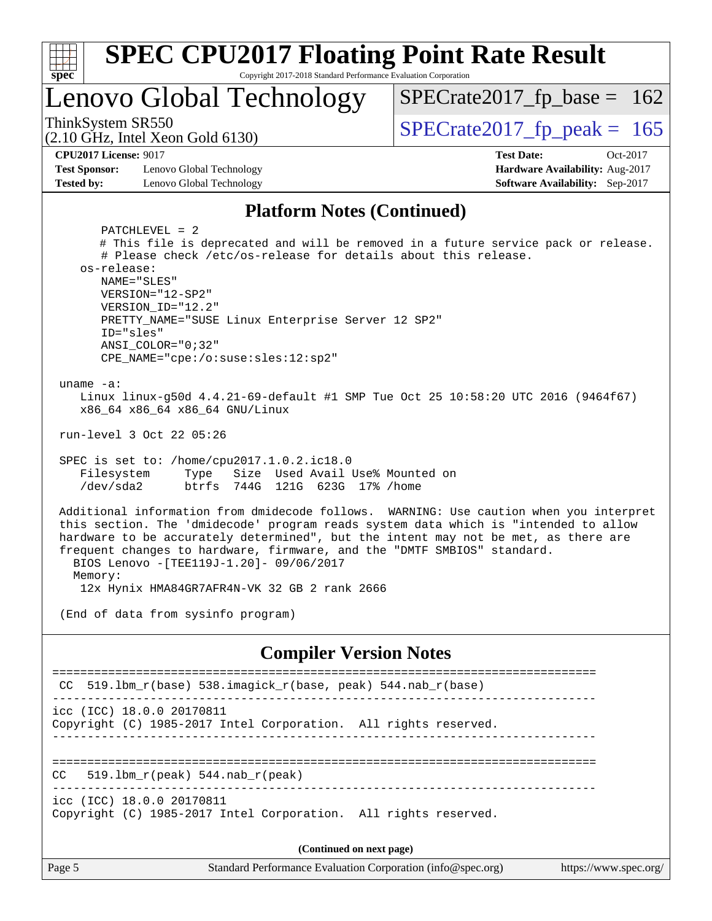| <b>SPEC CPU2017 Floating Point Rate Result</b><br>spec<br>Copyright 2017-2018 Standard Performance Evaluation Corporation                                                                                                                                                                                                                                                                                                                                                               |                                                                                                     |  |  |  |  |
|-----------------------------------------------------------------------------------------------------------------------------------------------------------------------------------------------------------------------------------------------------------------------------------------------------------------------------------------------------------------------------------------------------------------------------------------------------------------------------------------|-----------------------------------------------------------------------------------------------------|--|--|--|--|
| Lenovo Global Technology                                                                                                                                                                                                                                                                                                                                                                                                                                                                | $SPECrate2017_fp\_base = 162$                                                                       |  |  |  |  |
| ThinkSystem SR550<br>$(2.10 \text{ GHz}, \text{Intel Xeon Gold } 6130)$                                                                                                                                                                                                                                                                                                                                                                                                                 | $SPECTate2017$ _fp_peak = 165                                                                       |  |  |  |  |
| <b>CPU2017 License: 9017</b><br><b>Test Sponsor:</b><br>Lenovo Global Technology<br><b>Tested by:</b><br>Lenovo Global Technology                                                                                                                                                                                                                                                                                                                                                       | <b>Test Date:</b><br>Oct-2017<br>Hardware Availability: Aug-2017<br>Software Availability: Sep-2017 |  |  |  |  |
| <b>Platform Notes (Continued)</b>                                                                                                                                                                                                                                                                                                                                                                                                                                                       |                                                                                                     |  |  |  |  |
| $PATCHLEVEL = 2$<br># This file is deprecated and will be removed in a future service pack or release.<br># Please check /etc/os-release for details about this release.<br>os-release:<br>NAME="SLES"<br>VERSION="12-SP2"<br>VERSION_ID="12.2"<br>PRETTY_NAME="SUSE Linux Enterprise Server 12 SP2"<br>ID="sles"<br>$ANSI$ _COLOR=" $0:32$ "<br>CPE_NAME="cpe:/o:suse:sles:12:sp2"<br>uname $-a$ :<br>Linux linux-g50d 4.4.21-69-default #1 SMP Tue Oct 25 10:58:20 UTC 2016 (9464f67) |                                                                                                     |  |  |  |  |
| x86_64 x86_64 x86_64 GNU/Linux<br>run-level 3 Oct 22 05:26                                                                                                                                                                                                                                                                                                                                                                                                                              |                                                                                                     |  |  |  |  |
| SPEC is set to: /home/cpu2017.1.0.2.ic18.0<br>Size Used Avail Use% Mounted on<br>Filesystem<br>Type<br>$/$ dev $/$ sda2<br>btrfs 744G 121G 623G 17% / home                                                                                                                                                                                                                                                                                                                              |                                                                                                     |  |  |  |  |
| Additional information from dmidecode follows. WARNING: Use caution when you interpret<br>this section. The 'dmidecode' program reads system data which is "intended to allow<br>hardware to be accurately determined", but the intent may not be met, as there are<br>frequent changes to hardware, firmware, and the "DMTF SMBIOS" standard.<br>BIOS Lenovo - [TEE119J-1.20] - 09/06/2017<br>Memory:<br>12x Hynix HMA84GR7AFR4N-VK 32 GB 2 rank 2666                                  |                                                                                                     |  |  |  |  |
| (End of data from sysinfo program)                                                                                                                                                                                                                                                                                                                                                                                                                                                      |                                                                                                     |  |  |  |  |
| <b>Compiler Version Notes</b>                                                                                                                                                                                                                                                                                                                                                                                                                                                           |                                                                                                     |  |  |  |  |
| 519.1bm_r(base) 538.imagick_r(base, peak) 544.nab_r(base)<br>CC.                                                                                                                                                                                                                                                                                                                                                                                                                        |                                                                                                     |  |  |  |  |
| icc (ICC) 18.0.0 20170811<br>Copyright (C) 1985-2017 Intel Corporation. All rights reserved.                                                                                                                                                                                                                                                                                                                                                                                            |                                                                                                     |  |  |  |  |
| $519.1bm_r(peak) 544.nab_r(peak)$<br>CC.                                                                                                                                                                                                                                                                                                                                                                                                                                                |                                                                                                     |  |  |  |  |

------------------------------------------------------------------------------

icc (ICC) 18.0.0 20170811 Copyright (C) 1985-2017 Intel Corporation. All rights reserved.

**(Continued on next page)**

Page 5 Standard Performance Evaluation Corporation [\(info@spec.org\)](mailto:info@spec.org) <https://www.spec.org/>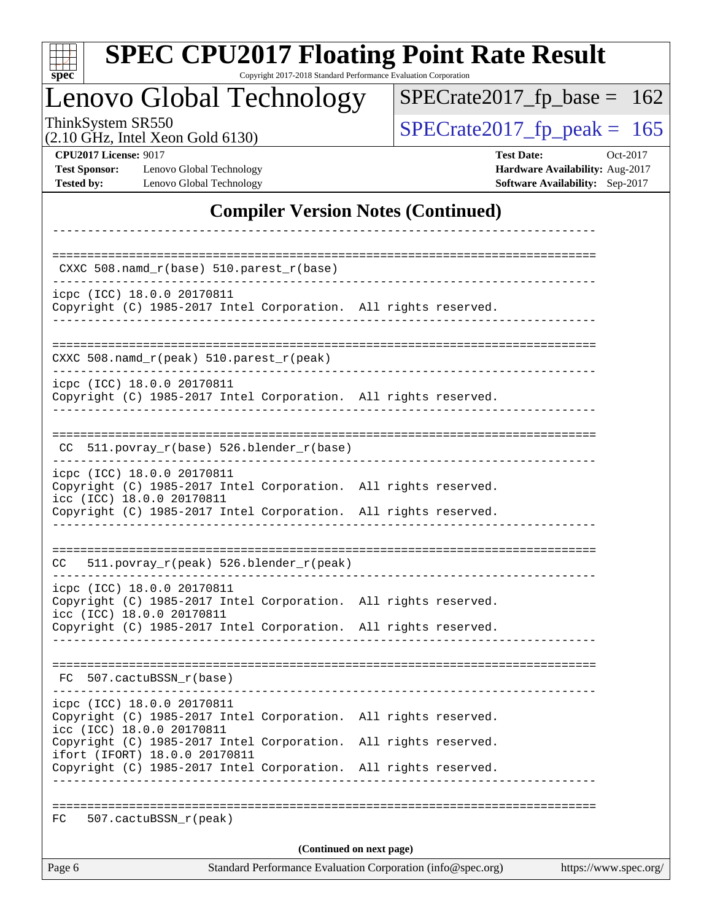| <b>SPEC CPU2017 Floating Point Rate Result</b><br>Copyright 2017-2018 Standard Performance Evaluation Corporation<br>$\mathbf{Spec}^*$ |                                                                                                     |
|----------------------------------------------------------------------------------------------------------------------------------------|-----------------------------------------------------------------------------------------------------|
| Lenovo Global Technology                                                                                                               | $SPECrate2017_fp\_base = 162$                                                                       |
| ThinkSystem SR550<br>$(2.10 \text{ GHz}, \text{Intel Xeon Gold } 6130)$                                                                | $SPECTate2017$ _fp_peak = 165                                                                       |
| <b>CPU2017 License: 9017</b><br><b>Test Sponsor:</b><br>Lenovo Global Technology<br>Lenovo Global Technology<br><b>Tested by:</b>      | <b>Test Date:</b><br>Oct-2017<br>Hardware Availability: Aug-2017<br>Software Availability: Sep-2017 |
| <b>Compiler Version Notes (Continued)</b>                                                                                              |                                                                                                     |
|                                                                                                                                        |                                                                                                     |
| $CXXC 508.namd_r(base) 510.parest_r(base)$                                                                                             |                                                                                                     |
| icpc (ICC) 18.0.0 20170811<br>Copyright (C) 1985-2017 Intel Corporation. All rights reserved.                                          |                                                                                                     |
| CXXC 508.namd_r(peak) 510.parest_r(peak)                                                                                               |                                                                                                     |
| icpc (ICC) 18.0.0 20170811<br>Copyright (C) 1985-2017 Intel Corporation. All rights reserved.                                          |                                                                                                     |
| 511.povray_r(base) 526.blender_r(base)<br>CC.                                                                                          |                                                                                                     |
| icpc (ICC) 18.0.0 20170811<br>Copyright (C) 1985-2017 Intel Corporation. All rights reserved.<br>icc (ICC) 18.0.0 20170811             |                                                                                                     |
| Copyright (C) 1985-2017 Intel Corporation. All rights reserved.                                                                        |                                                                                                     |
| CC 511.povray_r(peak) 526.blender_r(peak)                                                                                              |                                                                                                     |
| icpc (ICC) 18.0.0 20170811<br>Copyright (C) 1985-2017 Intel Corporation. All rights reserved.                                          |                                                                                                     |
| icc (ICC) 18.0.0 20170811<br>Copyright (C) 1985-2017 Intel Corporation. All rights reserved.                                           |                                                                                                     |
|                                                                                                                                        |                                                                                                     |
| FC 507.cactuBSSN_r(base)                                                                                                               |                                                                                                     |
| icpc (ICC) 18.0.0 20170811<br>Copyright (C) 1985-2017 Intel Corporation. All rights reserved.<br>icc (ICC) 18.0.0 20170811             |                                                                                                     |
| Copyright (C) 1985-2017 Intel Corporation. All rights reserved.<br>ifort (IFORT) 18.0.0 20170811                                       |                                                                                                     |
| Copyright (C) 1985-2017 Intel Corporation. All rights reserved.                                                                        |                                                                                                     |
| 507.cactuBSSN_r(peak)<br>FC                                                                                                            |                                                                                                     |
| (Continued on next page)                                                                                                               | Standard Darformence Evelyption Companion (info@eneo.com) bttps://www.                              |

Page 6 Standard Performance Evaluation Corporation [\(info@spec.org\)](mailto:info@spec.org) <https://www.spec.org/>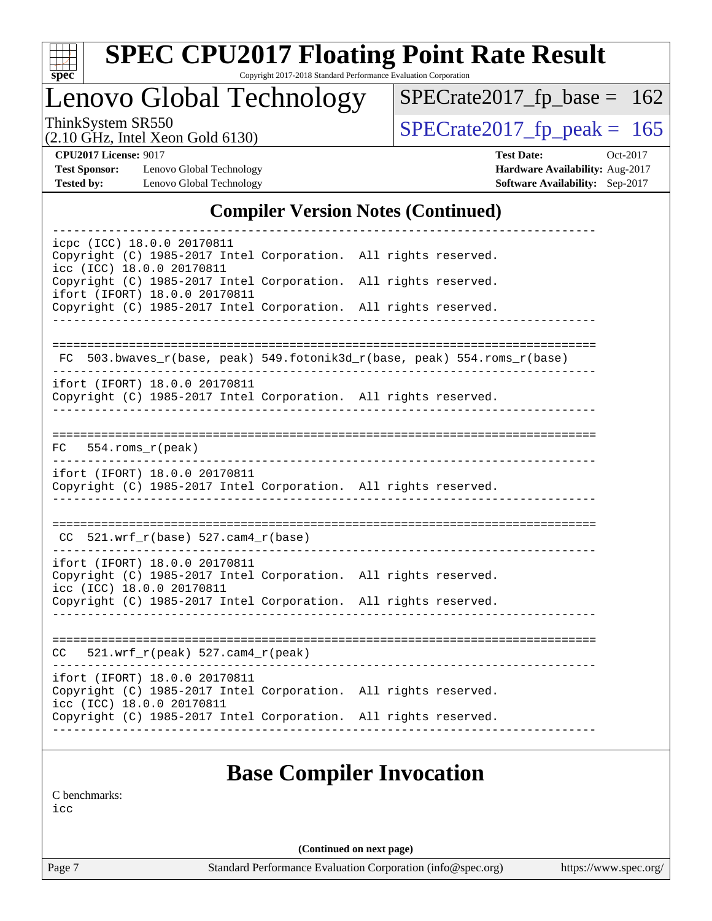

# **[SPEC CPU2017 Floating Point Rate Result](http://www.spec.org/auto/cpu2017/Docs/result-fields.html#SPECCPU2017FloatingPointRateResult)**

Copyright 2017-2018 Standard Performance Evaluation Corporation

Lenovo Global Technology

ThinkSystem SR550<br>  $(2.10 \text{ GHz})$  Intel Xeon Gold 6130)

[SPECrate2017\\_fp\\_base =](http://www.spec.org/auto/cpu2017/Docs/result-fields.html#SPECrate2017fpbase) 162

(2.10 GHz, Intel Xeon Gold 6130)

**[Test Sponsor:](http://www.spec.org/auto/cpu2017/Docs/result-fields.html#TestSponsor)** Lenovo Global Technology **[Hardware Availability:](http://www.spec.org/auto/cpu2017/Docs/result-fields.html#HardwareAvailability)** Aug-2017 **[Tested by:](http://www.spec.org/auto/cpu2017/Docs/result-fields.html#Testedby)** Lenovo Global Technology **[Software Availability:](http://www.spec.org/auto/cpu2017/Docs/result-fields.html#SoftwareAvailability)** Sep-2017

**[CPU2017 License:](http://www.spec.org/auto/cpu2017/Docs/result-fields.html#CPU2017License)** 9017 **[Test Date:](http://www.spec.org/auto/cpu2017/Docs/result-fields.html#TestDate)** Oct-2017

#### **[Compiler Version Notes \(Continued\)](http://www.spec.org/auto/cpu2017/Docs/result-fields.html#CompilerVersionNotes)**

| icpc (ICC) 18.0.0 20170811<br>Copyright (C) 1985-2017 Intel Corporation. All rights reserved.<br>icc (ICC) 18.0.0 20170811    |                                                                          |
|-------------------------------------------------------------------------------------------------------------------------------|--------------------------------------------------------------------------|
| Copyright (C) 1985-2017 Intel Corporation. All rights reserved.                                                               |                                                                          |
| ifort (IFORT) 18.0.0 20170811<br>Copyright (C) 1985-2017 Intel Corporation. All rights reserved.                              |                                                                          |
|                                                                                                                               |                                                                          |
|                                                                                                                               | FC 503.bwaves_r(base, peak) 549.fotonik3d_r(base, peak) 554.roms_r(base) |
| ifort (IFORT) 18.0.0 20170811<br>Copyright (C) 1985-2017 Intel Corporation. All rights reserved.                              |                                                                          |
| $FC$ 554.roms $r$ (peak)                                                                                                      |                                                                          |
| ifort (IFORT) 18.0.0 20170811<br>Copyright (C) 1985-2017 Intel Corporation. All rights reserved.                              |                                                                          |
| $CC$ 521.wrf_r(base) 527.cam4_r(base)                                                                                         |                                                                          |
| ifort (IFORT) 18.0.0 20170811<br>Copyright (C) 1985-2017 Intel Corporation. All rights reserved.<br>icc (ICC) 18.0.0 20170811 |                                                                          |
| Copyright (C) 1985-2017 Intel Corporation. All rights reserved.                                                               |                                                                          |
| $CC = 521.wrf_r(peak) 527.cam4_r(peak)$                                                                                       |                                                                          |
| ifort (IFORT) 18.0.0 20170811<br>Copyright (C) 1985-2017 Intel Corporation. All rights reserved.                              |                                                                          |
| icc (ICC) 18.0.0 20170811                                                                                                     | Copyright (C) 1985-2017 Intel Corporation. All rights reserved.          |

#### **[Base Compiler Invocation](http://www.spec.org/auto/cpu2017/Docs/result-fields.html#BaseCompilerInvocation)**

[C benchmarks](http://www.spec.org/auto/cpu2017/Docs/result-fields.html#Cbenchmarks):

[icc](http://www.spec.org/cpu2017/results/res2017q4/cpu2017-20171128-01312.flags.html#user_CCbase_intel_icc_18.0_66fc1ee009f7361af1fbd72ca7dcefbb700085f36577c54f309893dd4ec40d12360134090235512931783d35fd58c0460139e722d5067c5574d8eaf2b3e37e92)

**(Continued on next page)**

Page 7 Standard Performance Evaluation Corporation [\(info@spec.org\)](mailto:info@spec.org) <https://www.spec.org/>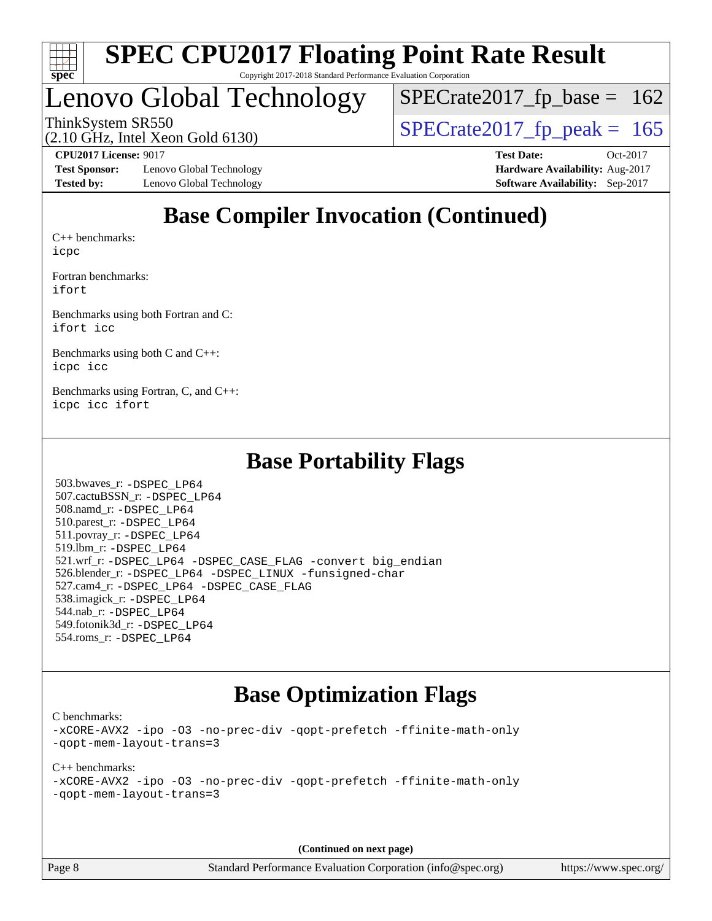

# Lenovo Global Technology

ThinkSystem SR550<br>  $(2.10 \text{ GHz})$  Intel Xeon Gold 6130)  $SPECTate2017_fp\_base = 162$ 

(2.10 GHz, Intel Xeon Gold 6130)

**[Test Sponsor:](http://www.spec.org/auto/cpu2017/Docs/result-fields.html#TestSponsor)** Lenovo Global Technology **[Hardware Availability:](http://www.spec.org/auto/cpu2017/Docs/result-fields.html#HardwareAvailability)** Aug-2017 **[Tested by:](http://www.spec.org/auto/cpu2017/Docs/result-fields.html#Testedby)** Lenovo Global Technology **[Software Availability:](http://www.spec.org/auto/cpu2017/Docs/result-fields.html#SoftwareAvailability)** Sep-2017

**[CPU2017 License:](http://www.spec.org/auto/cpu2017/Docs/result-fields.html#CPU2017License)** 9017 **[Test Date:](http://www.spec.org/auto/cpu2017/Docs/result-fields.html#TestDate)** Oct-2017

### **[Base Compiler Invocation \(Continued\)](http://www.spec.org/auto/cpu2017/Docs/result-fields.html#BaseCompilerInvocation)**

[C++ benchmarks:](http://www.spec.org/auto/cpu2017/Docs/result-fields.html#CXXbenchmarks) [icpc](http://www.spec.org/cpu2017/results/res2017q4/cpu2017-20171128-01312.flags.html#user_CXXbase_intel_icpc_18.0_c510b6838c7f56d33e37e94d029a35b4a7bccf4766a728ee175e80a419847e808290a9b78be685c44ab727ea267ec2f070ec5dc83b407c0218cded6866a35d07)

[Fortran benchmarks](http://www.spec.org/auto/cpu2017/Docs/result-fields.html#Fortranbenchmarks): [ifort](http://www.spec.org/cpu2017/results/res2017q4/cpu2017-20171128-01312.flags.html#user_FCbase_intel_ifort_18.0_8111460550e3ca792625aed983ce982f94888b8b503583aa7ba2b8303487b4d8a21a13e7191a45c5fd58ff318f48f9492884d4413fa793fd88dd292cad7027ca)

[Benchmarks using both Fortran and C](http://www.spec.org/auto/cpu2017/Docs/result-fields.html#BenchmarksusingbothFortranandC): [ifort](http://www.spec.org/cpu2017/results/res2017q4/cpu2017-20171128-01312.flags.html#user_CC_FCbase_intel_ifort_18.0_8111460550e3ca792625aed983ce982f94888b8b503583aa7ba2b8303487b4d8a21a13e7191a45c5fd58ff318f48f9492884d4413fa793fd88dd292cad7027ca) [icc](http://www.spec.org/cpu2017/results/res2017q4/cpu2017-20171128-01312.flags.html#user_CC_FCbase_intel_icc_18.0_66fc1ee009f7361af1fbd72ca7dcefbb700085f36577c54f309893dd4ec40d12360134090235512931783d35fd58c0460139e722d5067c5574d8eaf2b3e37e92)

[Benchmarks using both C and C++](http://www.spec.org/auto/cpu2017/Docs/result-fields.html#BenchmarksusingbothCandCXX): [icpc](http://www.spec.org/cpu2017/results/res2017q4/cpu2017-20171128-01312.flags.html#user_CC_CXXbase_intel_icpc_18.0_c510b6838c7f56d33e37e94d029a35b4a7bccf4766a728ee175e80a419847e808290a9b78be685c44ab727ea267ec2f070ec5dc83b407c0218cded6866a35d07) [icc](http://www.spec.org/cpu2017/results/res2017q4/cpu2017-20171128-01312.flags.html#user_CC_CXXbase_intel_icc_18.0_66fc1ee009f7361af1fbd72ca7dcefbb700085f36577c54f309893dd4ec40d12360134090235512931783d35fd58c0460139e722d5067c5574d8eaf2b3e37e92)

[Benchmarks using Fortran, C, and C++:](http://www.spec.org/auto/cpu2017/Docs/result-fields.html#BenchmarksusingFortranCandCXX) [icpc](http://www.spec.org/cpu2017/results/res2017q4/cpu2017-20171128-01312.flags.html#user_CC_CXX_FCbase_intel_icpc_18.0_c510b6838c7f56d33e37e94d029a35b4a7bccf4766a728ee175e80a419847e808290a9b78be685c44ab727ea267ec2f070ec5dc83b407c0218cded6866a35d07) [icc](http://www.spec.org/cpu2017/results/res2017q4/cpu2017-20171128-01312.flags.html#user_CC_CXX_FCbase_intel_icc_18.0_66fc1ee009f7361af1fbd72ca7dcefbb700085f36577c54f309893dd4ec40d12360134090235512931783d35fd58c0460139e722d5067c5574d8eaf2b3e37e92) [ifort](http://www.spec.org/cpu2017/results/res2017q4/cpu2017-20171128-01312.flags.html#user_CC_CXX_FCbase_intel_ifort_18.0_8111460550e3ca792625aed983ce982f94888b8b503583aa7ba2b8303487b4d8a21a13e7191a45c5fd58ff318f48f9492884d4413fa793fd88dd292cad7027ca)

#### **[Base Portability Flags](http://www.spec.org/auto/cpu2017/Docs/result-fields.html#BasePortabilityFlags)**

 503.bwaves\_r: [-DSPEC\\_LP64](http://www.spec.org/cpu2017/results/res2017q4/cpu2017-20171128-01312.flags.html#suite_basePORTABILITY503_bwaves_r_DSPEC_LP64) 507.cactuBSSN\_r: [-DSPEC\\_LP64](http://www.spec.org/cpu2017/results/res2017q4/cpu2017-20171128-01312.flags.html#suite_basePORTABILITY507_cactuBSSN_r_DSPEC_LP64) 508.namd\_r: [-DSPEC\\_LP64](http://www.spec.org/cpu2017/results/res2017q4/cpu2017-20171128-01312.flags.html#suite_basePORTABILITY508_namd_r_DSPEC_LP64) 510.parest\_r: [-DSPEC\\_LP64](http://www.spec.org/cpu2017/results/res2017q4/cpu2017-20171128-01312.flags.html#suite_basePORTABILITY510_parest_r_DSPEC_LP64) 511.povray\_r: [-DSPEC\\_LP64](http://www.spec.org/cpu2017/results/res2017q4/cpu2017-20171128-01312.flags.html#suite_basePORTABILITY511_povray_r_DSPEC_LP64) 519.lbm\_r: [-DSPEC\\_LP64](http://www.spec.org/cpu2017/results/res2017q4/cpu2017-20171128-01312.flags.html#suite_basePORTABILITY519_lbm_r_DSPEC_LP64) 521.wrf\_r: [-DSPEC\\_LP64](http://www.spec.org/cpu2017/results/res2017q4/cpu2017-20171128-01312.flags.html#suite_basePORTABILITY521_wrf_r_DSPEC_LP64) [-DSPEC\\_CASE\\_FLAG](http://www.spec.org/cpu2017/results/res2017q4/cpu2017-20171128-01312.flags.html#b521.wrf_r_baseCPORTABILITY_DSPEC_CASE_FLAG) [-convert big\\_endian](http://www.spec.org/cpu2017/results/res2017q4/cpu2017-20171128-01312.flags.html#user_baseFPORTABILITY521_wrf_r_convert_big_endian_c3194028bc08c63ac5d04de18c48ce6d347e4e562e8892b8bdbdc0214820426deb8554edfa529a3fb25a586e65a3d812c835984020483e7e73212c4d31a38223) 526.blender\_r: [-DSPEC\\_LP64](http://www.spec.org/cpu2017/results/res2017q4/cpu2017-20171128-01312.flags.html#suite_basePORTABILITY526_blender_r_DSPEC_LP64) [-DSPEC\\_LINUX](http://www.spec.org/cpu2017/results/res2017q4/cpu2017-20171128-01312.flags.html#b526.blender_r_baseCPORTABILITY_DSPEC_LINUX) [-funsigned-char](http://www.spec.org/cpu2017/results/res2017q4/cpu2017-20171128-01312.flags.html#user_baseCPORTABILITY526_blender_r_force_uchar_40c60f00ab013830e2dd6774aeded3ff59883ba5a1fc5fc14077f794d777847726e2a5858cbc7672e36e1b067e7e5c1d9a74f7176df07886a243d7cc18edfe67) 527.cam4\_r: [-DSPEC\\_LP64](http://www.spec.org/cpu2017/results/res2017q4/cpu2017-20171128-01312.flags.html#suite_basePORTABILITY527_cam4_r_DSPEC_LP64) [-DSPEC\\_CASE\\_FLAG](http://www.spec.org/cpu2017/results/res2017q4/cpu2017-20171128-01312.flags.html#b527.cam4_r_baseCPORTABILITY_DSPEC_CASE_FLAG) 538.imagick\_r: [-DSPEC\\_LP64](http://www.spec.org/cpu2017/results/res2017q4/cpu2017-20171128-01312.flags.html#suite_basePORTABILITY538_imagick_r_DSPEC_LP64) 544.nab\_r: [-DSPEC\\_LP64](http://www.spec.org/cpu2017/results/res2017q4/cpu2017-20171128-01312.flags.html#suite_basePORTABILITY544_nab_r_DSPEC_LP64) 549.fotonik3d\_r: [-DSPEC\\_LP64](http://www.spec.org/cpu2017/results/res2017q4/cpu2017-20171128-01312.flags.html#suite_basePORTABILITY549_fotonik3d_r_DSPEC_LP64) 554.roms\_r: [-DSPEC\\_LP64](http://www.spec.org/cpu2017/results/res2017q4/cpu2017-20171128-01312.flags.html#suite_basePORTABILITY554_roms_r_DSPEC_LP64)

### **[Base Optimization Flags](http://www.spec.org/auto/cpu2017/Docs/result-fields.html#BaseOptimizationFlags)**

[C benchmarks](http://www.spec.org/auto/cpu2017/Docs/result-fields.html#Cbenchmarks):

[-xCORE-AVX2](http://www.spec.org/cpu2017/results/res2017q4/cpu2017-20171128-01312.flags.html#user_CCbase_f-xCORE-AVX2) [-ipo](http://www.spec.org/cpu2017/results/res2017q4/cpu2017-20171128-01312.flags.html#user_CCbase_f-ipo) [-O3](http://www.spec.org/cpu2017/results/res2017q4/cpu2017-20171128-01312.flags.html#user_CCbase_f-O3) [-no-prec-div](http://www.spec.org/cpu2017/results/res2017q4/cpu2017-20171128-01312.flags.html#user_CCbase_f-no-prec-div) [-qopt-prefetch](http://www.spec.org/cpu2017/results/res2017q4/cpu2017-20171128-01312.flags.html#user_CCbase_f-qopt-prefetch) [-ffinite-math-only](http://www.spec.org/cpu2017/results/res2017q4/cpu2017-20171128-01312.flags.html#user_CCbase_f_finite_math_only_cb91587bd2077682c4b38af759c288ed7c732db004271a9512da14a4f8007909a5f1427ecbf1a0fb78ff2a814402c6114ac565ca162485bbcae155b5e4258871) [-qopt-mem-layout-trans=3](http://www.spec.org/cpu2017/results/res2017q4/cpu2017-20171128-01312.flags.html#user_CCbase_f-qopt-mem-layout-trans_de80db37974c74b1f0e20d883f0b675c88c3b01e9d123adea9b28688d64333345fb62bc4a798493513fdb68f60282f9a726aa07f478b2f7113531aecce732043)

[C++ benchmarks:](http://www.spec.org/auto/cpu2017/Docs/result-fields.html#CXXbenchmarks) [-xCORE-AVX2](http://www.spec.org/cpu2017/results/res2017q4/cpu2017-20171128-01312.flags.html#user_CXXbase_f-xCORE-AVX2) [-ipo](http://www.spec.org/cpu2017/results/res2017q4/cpu2017-20171128-01312.flags.html#user_CXXbase_f-ipo) [-O3](http://www.spec.org/cpu2017/results/res2017q4/cpu2017-20171128-01312.flags.html#user_CXXbase_f-O3) [-no-prec-div](http://www.spec.org/cpu2017/results/res2017q4/cpu2017-20171128-01312.flags.html#user_CXXbase_f-no-prec-div) [-qopt-prefetch](http://www.spec.org/cpu2017/results/res2017q4/cpu2017-20171128-01312.flags.html#user_CXXbase_f-qopt-prefetch) [-ffinite-math-only](http://www.spec.org/cpu2017/results/res2017q4/cpu2017-20171128-01312.flags.html#user_CXXbase_f_finite_math_only_cb91587bd2077682c4b38af759c288ed7c732db004271a9512da14a4f8007909a5f1427ecbf1a0fb78ff2a814402c6114ac565ca162485bbcae155b5e4258871) [-qopt-mem-layout-trans=3](http://www.spec.org/cpu2017/results/res2017q4/cpu2017-20171128-01312.flags.html#user_CXXbase_f-qopt-mem-layout-trans_de80db37974c74b1f0e20d883f0b675c88c3b01e9d123adea9b28688d64333345fb62bc4a798493513fdb68f60282f9a726aa07f478b2f7113531aecce732043)

**(Continued on next page)**

Page 8 Standard Performance Evaluation Corporation [\(info@spec.org\)](mailto:info@spec.org) <https://www.spec.org/>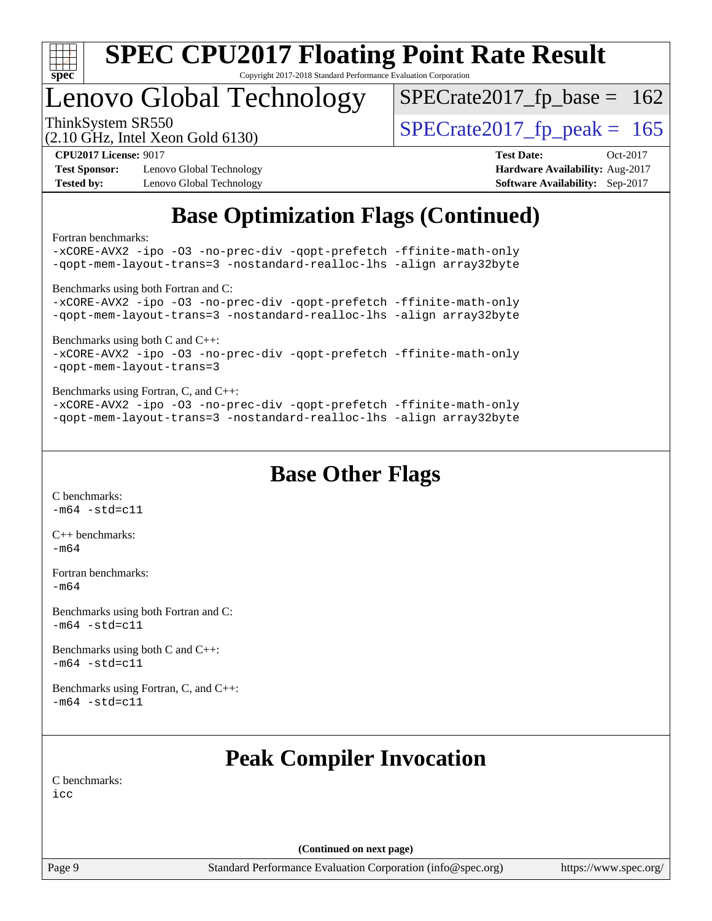

# Lenovo Global Technology

ThinkSystem SR550<br>  $(2.10 \text{ GHz})$  Intel Xeon Gold 6130)  $SPECTate2017_fp\_base = 162$ 

(2.10 GHz, Intel Xeon Gold 6130)

**[Test Sponsor:](http://www.spec.org/auto/cpu2017/Docs/result-fields.html#TestSponsor)** Lenovo Global Technology **[Hardware Availability:](http://www.spec.org/auto/cpu2017/Docs/result-fields.html#HardwareAvailability)** Aug-2017 **[Tested by:](http://www.spec.org/auto/cpu2017/Docs/result-fields.html#Testedby)** Lenovo Global Technology **[Software Availability:](http://www.spec.org/auto/cpu2017/Docs/result-fields.html#SoftwareAvailability)** Sep-2017

**[CPU2017 License:](http://www.spec.org/auto/cpu2017/Docs/result-fields.html#CPU2017License)** 9017 **[Test Date:](http://www.spec.org/auto/cpu2017/Docs/result-fields.html#TestDate)** Oct-2017

### **[Base Optimization Flags \(Continued\)](http://www.spec.org/auto/cpu2017/Docs/result-fields.html#BaseOptimizationFlags)**

[Fortran benchmarks](http://www.spec.org/auto/cpu2017/Docs/result-fields.html#Fortranbenchmarks):

[-xCORE-AVX2](http://www.spec.org/cpu2017/results/res2017q4/cpu2017-20171128-01312.flags.html#user_FCbase_f-xCORE-AVX2) [-ipo](http://www.spec.org/cpu2017/results/res2017q4/cpu2017-20171128-01312.flags.html#user_FCbase_f-ipo) [-O3](http://www.spec.org/cpu2017/results/res2017q4/cpu2017-20171128-01312.flags.html#user_FCbase_f-O3) [-no-prec-div](http://www.spec.org/cpu2017/results/res2017q4/cpu2017-20171128-01312.flags.html#user_FCbase_f-no-prec-div) [-qopt-prefetch](http://www.spec.org/cpu2017/results/res2017q4/cpu2017-20171128-01312.flags.html#user_FCbase_f-qopt-prefetch) [-ffinite-math-only](http://www.spec.org/cpu2017/results/res2017q4/cpu2017-20171128-01312.flags.html#user_FCbase_f_finite_math_only_cb91587bd2077682c4b38af759c288ed7c732db004271a9512da14a4f8007909a5f1427ecbf1a0fb78ff2a814402c6114ac565ca162485bbcae155b5e4258871) [-qopt-mem-layout-trans=3](http://www.spec.org/cpu2017/results/res2017q4/cpu2017-20171128-01312.flags.html#user_FCbase_f-qopt-mem-layout-trans_de80db37974c74b1f0e20d883f0b675c88c3b01e9d123adea9b28688d64333345fb62bc4a798493513fdb68f60282f9a726aa07f478b2f7113531aecce732043) [-nostandard-realloc-lhs](http://www.spec.org/cpu2017/results/res2017q4/cpu2017-20171128-01312.flags.html#user_FCbase_f_2003_std_realloc_82b4557e90729c0f113870c07e44d33d6f5a304b4f63d4c15d2d0f1fab99f5daaed73bdb9275d9ae411527f28b936061aa8b9c8f2d63842963b95c9dd6426b8a) [-align array32byte](http://www.spec.org/cpu2017/results/res2017q4/cpu2017-20171128-01312.flags.html#user_FCbase_align_array32byte_b982fe038af199962ba9a80c053b8342c548c85b40b8e86eb3cc33dee0d7986a4af373ac2d51c3f7cf710a18d62fdce2948f201cd044323541f22fc0fffc51b6) [Benchmarks using both Fortran and C](http://www.spec.org/auto/cpu2017/Docs/result-fields.html#BenchmarksusingbothFortranandC): [-xCORE-AVX2](http://www.spec.org/cpu2017/results/res2017q4/cpu2017-20171128-01312.flags.html#user_CC_FCbase_f-xCORE-AVX2) [-ipo](http://www.spec.org/cpu2017/results/res2017q4/cpu2017-20171128-01312.flags.html#user_CC_FCbase_f-ipo) [-O3](http://www.spec.org/cpu2017/results/res2017q4/cpu2017-20171128-01312.flags.html#user_CC_FCbase_f-O3) [-no-prec-div](http://www.spec.org/cpu2017/results/res2017q4/cpu2017-20171128-01312.flags.html#user_CC_FCbase_f-no-prec-div) [-qopt-prefetch](http://www.spec.org/cpu2017/results/res2017q4/cpu2017-20171128-01312.flags.html#user_CC_FCbase_f-qopt-prefetch) [-ffinite-math-only](http://www.spec.org/cpu2017/results/res2017q4/cpu2017-20171128-01312.flags.html#user_CC_FCbase_f_finite_math_only_cb91587bd2077682c4b38af759c288ed7c732db004271a9512da14a4f8007909a5f1427ecbf1a0fb78ff2a814402c6114ac565ca162485bbcae155b5e4258871) [-qopt-mem-layout-trans=3](http://www.spec.org/cpu2017/results/res2017q4/cpu2017-20171128-01312.flags.html#user_CC_FCbase_f-qopt-mem-layout-trans_de80db37974c74b1f0e20d883f0b675c88c3b01e9d123adea9b28688d64333345fb62bc4a798493513fdb68f60282f9a726aa07f478b2f7113531aecce732043) [-nostandard-realloc-lhs](http://www.spec.org/cpu2017/results/res2017q4/cpu2017-20171128-01312.flags.html#user_CC_FCbase_f_2003_std_realloc_82b4557e90729c0f113870c07e44d33d6f5a304b4f63d4c15d2d0f1fab99f5daaed73bdb9275d9ae411527f28b936061aa8b9c8f2d63842963b95c9dd6426b8a) [-align array32byte](http://www.spec.org/cpu2017/results/res2017q4/cpu2017-20171128-01312.flags.html#user_CC_FCbase_align_array32byte_b982fe038af199962ba9a80c053b8342c548c85b40b8e86eb3cc33dee0d7986a4af373ac2d51c3f7cf710a18d62fdce2948f201cd044323541f22fc0fffc51b6) [Benchmarks using both C and C++](http://www.spec.org/auto/cpu2017/Docs/result-fields.html#BenchmarksusingbothCandCXX): [-xCORE-AVX2](http://www.spec.org/cpu2017/results/res2017q4/cpu2017-20171128-01312.flags.html#user_CC_CXXbase_f-xCORE-AVX2) [-ipo](http://www.spec.org/cpu2017/results/res2017q4/cpu2017-20171128-01312.flags.html#user_CC_CXXbase_f-ipo) [-O3](http://www.spec.org/cpu2017/results/res2017q4/cpu2017-20171128-01312.flags.html#user_CC_CXXbase_f-O3) [-no-prec-div](http://www.spec.org/cpu2017/results/res2017q4/cpu2017-20171128-01312.flags.html#user_CC_CXXbase_f-no-prec-div) [-qopt-prefetch](http://www.spec.org/cpu2017/results/res2017q4/cpu2017-20171128-01312.flags.html#user_CC_CXXbase_f-qopt-prefetch) [-ffinite-math-only](http://www.spec.org/cpu2017/results/res2017q4/cpu2017-20171128-01312.flags.html#user_CC_CXXbase_f_finite_math_only_cb91587bd2077682c4b38af759c288ed7c732db004271a9512da14a4f8007909a5f1427ecbf1a0fb78ff2a814402c6114ac565ca162485bbcae155b5e4258871) [-qopt-mem-layout-trans=3](http://www.spec.org/cpu2017/results/res2017q4/cpu2017-20171128-01312.flags.html#user_CC_CXXbase_f-qopt-mem-layout-trans_de80db37974c74b1f0e20d883f0b675c88c3b01e9d123adea9b28688d64333345fb62bc4a798493513fdb68f60282f9a726aa07f478b2f7113531aecce732043) [Benchmarks using Fortran, C, and C++:](http://www.spec.org/auto/cpu2017/Docs/result-fields.html#BenchmarksusingFortranCandCXX) [-xCORE-AVX2](http://www.spec.org/cpu2017/results/res2017q4/cpu2017-20171128-01312.flags.html#user_CC_CXX_FCbase_f-xCORE-AVX2) [-ipo](http://www.spec.org/cpu2017/results/res2017q4/cpu2017-20171128-01312.flags.html#user_CC_CXX_FCbase_f-ipo) [-O3](http://www.spec.org/cpu2017/results/res2017q4/cpu2017-20171128-01312.flags.html#user_CC_CXX_FCbase_f-O3) [-no-prec-div](http://www.spec.org/cpu2017/results/res2017q4/cpu2017-20171128-01312.flags.html#user_CC_CXX_FCbase_f-no-prec-div) [-qopt-prefetch](http://www.spec.org/cpu2017/results/res2017q4/cpu2017-20171128-01312.flags.html#user_CC_CXX_FCbase_f-qopt-prefetch) [-ffinite-math-only](http://www.spec.org/cpu2017/results/res2017q4/cpu2017-20171128-01312.flags.html#user_CC_CXX_FCbase_f_finite_math_only_cb91587bd2077682c4b38af759c288ed7c732db004271a9512da14a4f8007909a5f1427ecbf1a0fb78ff2a814402c6114ac565ca162485bbcae155b5e4258871) [-qopt-mem-layout-trans=3](http://www.spec.org/cpu2017/results/res2017q4/cpu2017-20171128-01312.flags.html#user_CC_CXX_FCbase_f-qopt-mem-layout-trans_de80db37974c74b1f0e20d883f0b675c88c3b01e9d123adea9b28688d64333345fb62bc4a798493513fdb68f60282f9a726aa07f478b2f7113531aecce732043) [-nostandard-realloc-lhs](http://www.spec.org/cpu2017/results/res2017q4/cpu2017-20171128-01312.flags.html#user_CC_CXX_FCbase_f_2003_std_realloc_82b4557e90729c0f113870c07e44d33d6f5a304b4f63d4c15d2d0f1fab99f5daaed73bdb9275d9ae411527f28b936061aa8b9c8f2d63842963b95c9dd6426b8a) [-align array32byte](http://www.spec.org/cpu2017/results/res2017q4/cpu2017-20171128-01312.flags.html#user_CC_CXX_FCbase_align_array32byte_b982fe038af199962ba9a80c053b8342c548c85b40b8e86eb3cc33dee0d7986a4af373ac2d51c3f7cf710a18d62fdce2948f201cd044323541f22fc0fffc51b6)

**[Base Other Flags](http://www.spec.org/auto/cpu2017/Docs/result-fields.html#BaseOtherFlags)**

[C benchmarks](http://www.spec.org/auto/cpu2017/Docs/result-fields.html#Cbenchmarks):  $-m64 - std= c11$  $-m64 - std= c11$ 

[C++ benchmarks:](http://www.spec.org/auto/cpu2017/Docs/result-fields.html#CXXbenchmarks) [-m64](http://www.spec.org/cpu2017/results/res2017q4/cpu2017-20171128-01312.flags.html#user_CXXbase_intel_intel64_18.0_af43caccfc8ded86e7699f2159af6efc7655f51387b94da716254467f3c01020a5059329e2569e4053f409e7c9202a7efc638f7a6d1ffb3f52dea4a3e31d82ab)

[Fortran benchmarks](http://www.spec.org/auto/cpu2017/Docs/result-fields.html#Fortranbenchmarks): [-m64](http://www.spec.org/cpu2017/results/res2017q4/cpu2017-20171128-01312.flags.html#user_FCbase_intel_intel64_18.0_af43caccfc8ded86e7699f2159af6efc7655f51387b94da716254467f3c01020a5059329e2569e4053f409e7c9202a7efc638f7a6d1ffb3f52dea4a3e31d82ab)

[Benchmarks using both Fortran and C](http://www.spec.org/auto/cpu2017/Docs/result-fields.html#BenchmarksusingbothFortranandC):  $-m64$   $-std=cl1$ 

[Benchmarks using both C and C++](http://www.spec.org/auto/cpu2017/Docs/result-fields.html#BenchmarksusingbothCandCXX):  $-m64 - std= c11$  $-m64 - std= c11$ 

[Benchmarks using Fortran, C, and C++:](http://www.spec.org/auto/cpu2017/Docs/result-fields.html#BenchmarksusingFortranCandCXX)  $-m64 - std= c11$  $-m64 - std= c11$ 

### **[Peak Compiler Invocation](http://www.spec.org/auto/cpu2017/Docs/result-fields.html#PeakCompilerInvocation)**

[C benchmarks](http://www.spec.org/auto/cpu2017/Docs/result-fields.html#Cbenchmarks): [icc](http://www.spec.org/cpu2017/results/res2017q4/cpu2017-20171128-01312.flags.html#user_CCpeak_intel_icc_18.0_66fc1ee009f7361af1fbd72ca7dcefbb700085f36577c54f309893dd4ec40d12360134090235512931783d35fd58c0460139e722d5067c5574d8eaf2b3e37e92)

**(Continued on next page)**

Page 9 Standard Performance Evaluation Corporation [\(info@spec.org\)](mailto:info@spec.org) <https://www.spec.org/>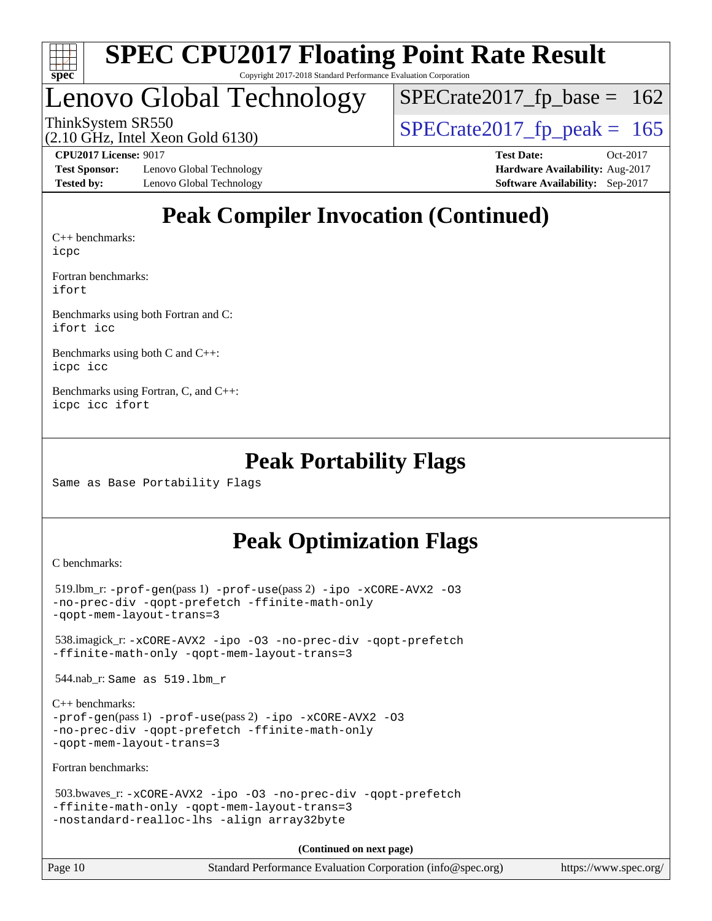

# Lenovo Global Technology

ThinkSystem SR550<br>  $(2.10 \text{ GHz})$  Intel Xeon Gold 6130)  $SPECTate2017_fp\_base = 162$ 

(2.10 GHz, Intel Xeon Gold 6130)

**[Test Sponsor:](http://www.spec.org/auto/cpu2017/Docs/result-fields.html#TestSponsor)** Lenovo Global Technology **[Hardware Availability:](http://www.spec.org/auto/cpu2017/Docs/result-fields.html#HardwareAvailability)** Aug-2017 **[Tested by:](http://www.spec.org/auto/cpu2017/Docs/result-fields.html#Testedby)** Lenovo Global Technology **[Software Availability:](http://www.spec.org/auto/cpu2017/Docs/result-fields.html#SoftwareAvailability)** Sep-2017

**[CPU2017 License:](http://www.spec.org/auto/cpu2017/Docs/result-fields.html#CPU2017License)** 9017 **[Test Date:](http://www.spec.org/auto/cpu2017/Docs/result-fields.html#TestDate)** Oct-2017

### **[Peak Compiler Invocation \(Continued\)](http://www.spec.org/auto/cpu2017/Docs/result-fields.html#PeakCompilerInvocation)**

[C++ benchmarks:](http://www.spec.org/auto/cpu2017/Docs/result-fields.html#CXXbenchmarks) [icpc](http://www.spec.org/cpu2017/results/res2017q4/cpu2017-20171128-01312.flags.html#user_CXXpeak_intel_icpc_18.0_c510b6838c7f56d33e37e94d029a35b4a7bccf4766a728ee175e80a419847e808290a9b78be685c44ab727ea267ec2f070ec5dc83b407c0218cded6866a35d07)

[Fortran benchmarks](http://www.spec.org/auto/cpu2017/Docs/result-fields.html#Fortranbenchmarks): [ifort](http://www.spec.org/cpu2017/results/res2017q4/cpu2017-20171128-01312.flags.html#user_FCpeak_intel_ifort_18.0_8111460550e3ca792625aed983ce982f94888b8b503583aa7ba2b8303487b4d8a21a13e7191a45c5fd58ff318f48f9492884d4413fa793fd88dd292cad7027ca)

[Benchmarks using both Fortran and C](http://www.spec.org/auto/cpu2017/Docs/result-fields.html#BenchmarksusingbothFortranandC): [ifort](http://www.spec.org/cpu2017/results/res2017q4/cpu2017-20171128-01312.flags.html#user_CC_FCpeak_intel_ifort_18.0_8111460550e3ca792625aed983ce982f94888b8b503583aa7ba2b8303487b4d8a21a13e7191a45c5fd58ff318f48f9492884d4413fa793fd88dd292cad7027ca) [icc](http://www.spec.org/cpu2017/results/res2017q4/cpu2017-20171128-01312.flags.html#user_CC_FCpeak_intel_icc_18.0_66fc1ee009f7361af1fbd72ca7dcefbb700085f36577c54f309893dd4ec40d12360134090235512931783d35fd58c0460139e722d5067c5574d8eaf2b3e37e92)

[Benchmarks using both C and C++](http://www.spec.org/auto/cpu2017/Docs/result-fields.html#BenchmarksusingbothCandCXX): [icpc](http://www.spec.org/cpu2017/results/res2017q4/cpu2017-20171128-01312.flags.html#user_CC_CXXpeak_intel_icpc_18.0_c510b6838c7f56d33e37e94d029a35b4a7bccf4766a728ee175e80a419847e808290a9b78be685c44ab727ea267ec2f070ec5dc83b407c0218cded6866a35d07) [icc](http://www.spec.org/cpu2017/results/res2017q4/cpu2017-20171128-01312.flags.html#user_CC_CXXpeak_intel_icc_18.0_66fc1ee009f7361af1fbd72ca7dcefbb700085f36577c54f309893dd4ec40d12360134090235512931783d35fd58c0460139e722d5067c5574d8eaf2b3e37e92)

[Benchmarks using Fortran, C, and C++:](http://www.spec.org/auto/cpu2017/Docs/result-fields.html#BenchmarksusingFortranCandCXX) [icpc](http://www.spec.org/cpu2017/results/res2017q4/cpu2017-20171128-01312.flags.html#user_CC_CXX_FCpeak_intel_icpc_18.0_c510b6838c7f56d33e37e94d029a35b4a7bccf4766a728ee175e80a419847e808290a9b78be685c44ab727ea267ec2f070ec5dc83b407c0218cded6866a35d07) [icc](http://www.spec.org/cpu2017/results/res2017q4/cpu2017-20171128-01312.flags.html#user_CC_CXX_FCpeak_intel_icc_18.0_66fc1ee009f7361af1fbd72ca7dcefbb700085f36577c54f309893dd4ec40d12360134090235512931783d35fd58c0460139e722d5067c5574d8eaf2b3e37e92) [ifort](http://www.spec.org/cpu2017/results/res2017q4/cpu2017-20171128-01312.flags.html#user_CC_CXX_FCpeak_intel_ifort_18.0_8111460550e3ca792625aed983ce982f94888b8b503583aa7ba2b8303487b4d8a21a13e7191a45c5fd58ff318f48f9492884d4413fa793fd88dd292cad7027ca)

#### **[Peak Portability Flags](http://www.spec.org/auto/cpu2017/Docs/result-fields.html#PeakPortabilityFlags)**

Same as Base Portability Flags

### **[Peak Optimization Flags](http://www.spec.org/auto/cpu2017/Docs/result-fields.html#PeakOptimizationFlags)**

[C benchmarks](http://www.spec.org/auto/cpu2017/Docs/result-fields.html#Cbenchmarks):

```
519.lbm_r: -ipo -\text{xCORE-AVX2} -03-no-prec-div -qopt-prefetch -ffinite-math-only
-qopt-mem-layout-trans=3
 538.imagick_r: -xCORE-AVX2 -ipo -O3 -no-prec-div -qopt-prefetch
-ffinite-math-only -qopt-mem-layout-trans=3
 544.nab_r: Same as 519.lbm_r
C++ benchmarks: 
-prof-gen(pass 1) -prof-use(pass 2) -ipo -xCORE-AVX2 -O3
-no-prec-div -qopt-prefetch -ffinite-math-only
-qopt-mem-layout-trans=3
Fortran benchmarks: 
 503.bwaves_r: -xCORE-AVX2 -ipo -O3 -no-prec-div -qopt-prefetch
-ffinite-math-only -qopt-mem-layout-trans=3
-nostandard-realloc-lhs -align array32byte
                                    (Continued on next page)
```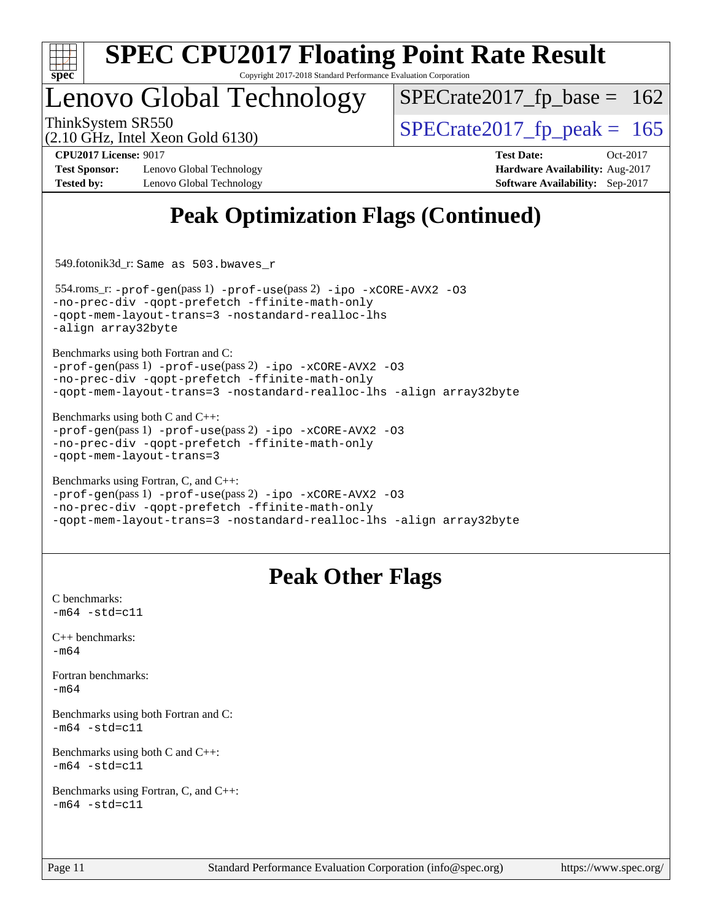

# **[SPEC CPU2017 Floating Point Rate Result](http://www.spec.org/auto/cpu2017/Docs/result-fields.html#SPECCPU2017FloatingPointRateResult)**

Copyright 2017-2018 Standard Performance Evaluation Corporation

# Lenovo Global Technology

ThinkSystem SR550<br>  $\frac{10.047 \text{ J} \cdot \text{m/s}}{2.10 \text{ GHz}}$  [SPECrate2017\\_fp\\_peak =](http://www.spec.org/auto/cpu2017/Docs/result-fields.html#SPECrate2017fppeak) 165  $SPECTate2017_fp\_base = 162$ 

(2.10 GHz, Intel Xeon Gold 6130)

**[CPU2017 License:](http://www.spec.org/auto/cpu2017/Docs/result-fields.html#CPU2017License)** 9017 **[Test Date:](http://www.spec.org/auto/cpu2017/Docs/result-fields.html#TestDate)** Oct-2017

**[Test Sponsor:](http://www.spec.org/auto/cpu2017/Docs/result-fields.html#TestSponsor)** Lenovo Global Technology **[Hardware Availability:](http://www.spec.org/auto/cpu2017/Docs/result-fields.html#HardwareAvailability)** Aug-2017

**[Tested by:](http://www.spec.org/auto/cpu2017/Docs/result-fields.html#Testedby)** Lenovo Global Technology **[Software Availability:](http://www.spec.org/auto/cpu2017/Docs/result-fields.html#SoftwareAvailability)** Sep-2017

### **[Peak Optimization Flags \(Continued\)](http://www.spec.org/auto/cpu2017/Docs/result-fields.html#PeakOptimizationFlags)**

549.fotonik3d\_r: Same as 503.bwaves\_r

 554.roms\_r: [-prof-gen](http://www.spec.org/cpu2017/results/res2017q4/cpu2017-20171128-01312.flags.html#user_peakPASS1_FFLAGSPASS1_LDFLAGS554_roms_r_prof_gen_5aa4926d6013ddb2a31985c654b3eb18169fc0c6952a63635c234f711e6e63dd76e94ad52365559451ec499a2cdb89e4dc58ba4c67ef54ca681ffbe1461d6b36)(pass 1) [-prof-use](http://www.spec.org/cpu2017/results/res2017q4/cpu2017-20171128-01312.flags.html#user_peakPASS2_FFLAGSPASS2_LDFLAGS554_roms_r_prof_use_1a21ceae95f36a2b53c25747139a6c16ca95bd9def2a207b4f0849963b97e94f5260e30a0c64f4bb623698870e679ca08317ef8150905d41bd88c6f78df73f19)(pass 2) [-ipo](http://www.spec.org/cpu2017/results/res2017q4/cpu2017-20171128-01312.flags.html#user_peakPASS1_FOPTIMIZEPASS2_FOPTIMIZE554_roms_r_f-ipo) [-xCORE-AVX2](http://www.spec.org/cpu2017/results/res2017q4/cpu2017-20171128-01312.flags.html#user_peakPASS2_FOPTIMIZE554_roms_r_f-xCORE-AVX2) [-O3](http://www.spec.org/cpu2017/results/res2017q4/cpu2017-20171128-01312.flags.html#user_peakPASS1_FOPTIMIZEPASS2_FOPTIMIZE554_roms_r_f-O3) [-no-prec-div](http://www.spec.org/cpu2017/results/res2017q4/cpu2017-20171128-01312.flags.html#user_peakPASS1_FOPTIMIZEPASS2_FOPTIMIZE554_roms_r_f-no-prec-div) [-qopt-prefetch](http://www.spec.org/cpu2017/results/res2017q4/cpu2017-20171128-01312.flags.html#user_peakPASS1_FOPTIMIZEPASS2_FOPTIMIZE554_roms_r_f-qopt-prefetch) [-ffinite-math-only](http://www.spec.org/cpu2017/results/res2017q4/cpu2017-20171128-01312.flags.html#user_peakPASS1_FOPTIMIZEPASS2_FOPTIMIZE554_roms_r_f_finite_math_only_cb91587bd2077682c4b38af759c288ed7c732db004271a9512da14a4f8007909a5f1427ecbf1a0fb78ff2a814402c6114ac565ca162485bbcae155b5e4258871) [-qopt-mem-layout-trans=3](http://www.spec.org/cpu2017/results/res2017q4/cpu2017-20171128-01312.flags.html#user_peakPASS1_FOPTIMIZEPASS2_FOPTIMIZE554_roms_r_f-qopt-mem-layout-trans_de80db37974c74b1f0e20d883f0b675c88c3b01e9d123adea9b28688d64333345fb62bc4a798493513fdb68f60282f9a726aa07f478b2f7113531aecce732043) [-nostandard-realloc-lhs](http://www.spec.org/cpu2017/results/res2017q4/cpu2017-20171128-01312.flags.html#user_peakEXTRA_FOPTIMIZE554_roms_r_f_2003_std_realloc_82b4557e90729c0f113870c07e44d33d6f5a304b4f63d4c15d2d0f1fab99f5daaed73bdb9275d9ae411527f28b936061aa8b9c8f2d63842963b95c9dd6426b8a) [-align array32byte](http://www.spec.org/cpu2017/results/res2017q4/cpu2017-20171128-01312.flags.html#user_peakEXTRA_FOPTIMIZE554_roms_r_align_array32byte_b982fe038af199962ba9a80c053b8342c548c85b40b8e86eb3cc33dee0d7986a4af373ac2d51c3f7cf710a18d62fdce2948f201cd044323541f22fc0fffc51b6)

[Benchmarks using both Fortran and C](http://www.spec.org/auto/cpu2017/Docs/result-fields.html#BenchmarksusingbothFortranandC):

[-prof-gen](http://www.spec.org/cpu2017/results/res2017q4/cpu2017-20171128-01312.flags.html#user_CC_FCpeak_prof_gen_5aa4926d6013ddb2a31985c654b3eb18169fc0c6952a63635c234f711e6e63dd76e94ad52365559451ec499a2cdb89e4dc58ba4c67ef54ca681ffbe1461d6b36)(pass 1) [-prof-use](http://www.spec.org/cpu2017/results/res2017q4/cpu2017-20171128-01312.flags.html#user_CC_FCpeak_prof_use_1a21ceae95f36a2b53c25747139a6c16ca95bd9def2a207b4f0849963b97e94f5260e30a0c64f4bb623698870e679ca08317ef8150905d41bd88c6f78df73f19)(pass 2) [-ipo](http://www.spec.org/cpu2017/results/res2017q4/cpu2017-20171128-01312.flags.html#user_CC_FCpeak_f-ipo) [-xCORE-AVX2](http://www.spec.org/cpu2017/results/res2017q4/cpu2017-20171128-01312.flags.html#user_CC_FCpeak_f-xCORE-AVX2) [-O3](http://www.spec.org/cpu2017/results/res2017q4/cpu2017-20171128-01312.flags.html#user_CC_FCpeak_f-O3) [-no-prec-div](http://www.spec.org/cpu2017/results/res2017q4/cpu2017-20171128-01312.flags.html#user_CC_FCpeak_f-no-prec-div) [-qopt-prefetch](http://www.spec.org/cpu2017/results/res2017q4/cpu2017-20171128-01312.flags.html#user_CC_FCpeak_f-qopt-prefetch) [-ffinite-math-only](http://www.spec.org/cpu2017/results/res2017q4/cpu2017-20171128-01312.flags.html#user_CC_FCpeak_f_finite_math_only_cb91587bd2077682c4b38af759c288ed7c732db004271a9512da14a4f8007909a5f1427ecbf1a0fb78ff2a814402c6114ac565ca162485bbcae155b5e4258871) [-qopt-mem-layout-trans=3](http://www.spec.org/cpu2017/results/res2017q4/cpu2017-20171128-01312.flags.html#user_CC_FCpeak_f-qopt-mem-layout-trans_de80db37974c74b1f0e20d883f0b675c88c3b01e9d123adea9b28688d64333345fb62bc4a798493513fdb68f60282f9a726aa07f478b2f7113531aecce732043) [-nostandard-realloc-lhs](http://www.spec.org/cpu2017/results/res2017q4/cpu2017-20171128-01312.flags.html#user_CC_FCpeak_f_2003_std_realloc_82b4557e90729c0f113870c07e44d33d6f5a304b4f63d4c15d2d0f1fab99f5daaed73bdb9275d9ae411527f28b936061aa8b9c8f2d63842963b95c9dd6426b8a) [-align array32byte](http://www.spec.org/cpu2017/results/res2017q4/cpu2017-20171128-01312.flags.html#user_CC_FCpeak_align_array32byte_b982fe038af199962ba9a80c053b8342c548c85b40b8e86eb3cc33dee0d7986a4af373ac2d51c3f7cf710a18d62fdce2948f201cd044323541f22fc0fffc51b6)

[Benchmarks using both C and C++](http://www.spec.org/auto/cpu2017/Docs/result-fields.html#BenchmarksusingbothCandCXX): [-prof-gen](http://www.spec.org/cpu2017/results/res2017q4/cpu2017-20171128-01312.flags.html#user_CC_CXXpeak_prof_gen_5aa4926d6013ddb2a31985c654b3eb18169fc0c6952a63635c234f711e6e63dd76e94ad52365559451ec499a2cdb89e4dc58ba4c67ef54ca681ffbe1461d6b36)(pass 1) [-prof-use](http://www.spec.org/cpu2017/results/res2017q4/cpu2017-20171128-01312.flags.html#user_CC_CXXpeak_prof_use_1a21ceae95f36a2b53c25747139a6c16ca95bd9def2a207b4f0849963b97e94f5260e30a0c64f4bb623698870e679ca08317ef8150905d41bd88c6f78df73f19)(pass 2) [-ipo](http://www.spec.org/cpu2017/results/res2017q4/cpu2017-20171128-01312.flags.html#user_CC_CXXpeak_f-ipo) [-xCORE-AVX2](http://www.spec.org/cpu2017/results/res2017q4/cpu2017-20171128-01312.flags.html#user_CC_CXXpeak_f-xCORE-AVX2) [-O3](http://www.spec.org/cpu2017/results/res2017q4/cpu2017-20171128-01312.flags.html#user_CC_CXXpeak_f-O3) [-no-prec-div](http://www.spec.org/cpu2017/results/res2017q4/cpu2017-20171128-01312.flags.html#user_CC_CXXpeak_f-no-prec-div) [-qopt-prefetch](http://www.spec.org/cpu2017/results/res2017q4/cpu2017-20171128-01312.flags.html#user_CC_CXXpeak_f-qopt-prefetch) [-ffinite-math-only](http://www.spec.org/cpu2017/results/res2017q4/cpu2017-20171128-01312.flags.html#user_CC_CXXpeak_f_finite_math_only_cb91587bd2077682c4b38af759c288ed7c732db004271a9512da14a4f8007909a5f1427ecbf1a0fb78ff2a814402c6114ac565ca162485bbcae155b5e4258871) [-qopt-mem-layout-trans=3](http://www.spec.org/cpu2017/results/res2017q4/cpu2017-20171128-01312.flags.html#user_CC_CXXpeak_f-qopt-mem-layout-trans_de80db37974c74b1f0e20d883f0b675c88c3b01e9d123adea9b28688d64333345fb62bc4a798493513fdb68f60282f9a726aa07f478b2f7113531aecce732043)

```
Benchmarks using Fortran, C, and C++: 
-prof-gen(pass 1) -prof-use(pass 2) -ipo -xCORE-AVX2 -O3
-no-prec-div -qopt-prefetch -ffinite-math-only
-qopt-mem-layout-trans=3 -nostandard-realloc-lhs -align array32byte
```
### **[Peak Other Flags](http://www.spec.org/auto/cpu2017/Docs/result-fields.html#PeakOtherFlags)**

[C benchmarks](http://www.spec.org/auto/cpu2017/Docs/result-fields.html#Cbenchmarks):  $-m64 - std = c11$  $-m64 - std = c11$ [C++ benchmarks:](http://www.spec.org/auto/cpu2017/Docs/result-fields.html#CXXbenchmarks) [-m64](http://www.spec.org/cpu2017/results/res2017q4/cpu2017-20171128-01312.flags.html#user_CXXpeak_intel_intel64_18.0_af43caccfc8ded86e7699f2159af6efc7655f51387b94da716254467f3c01020a5059329e2569e4053f409e7c9202a7efc638f7a6d1ffb3f52dea4a3e31d82ab) [Fortran benchmarks](http://www.spec.org/auto/cpu2017/Docs/result-fields.html#Fortranbenchmarks): [-m64](http://www.spec.org/cpu2017/results/res2017q4/cpu2017-20171128-01312.flags.html#user_FCpeak_intel_intel64_18.0_af43caccfc8ded86e7699f2159af6efc7655f51387b94da716254467f3c01020a5059329e2569e4053f409e7c9202a7efc638f7a6d1ffb3f52dea4a3e31d82ab) [Benchmarks using both Fortran and C](http://www.spec.org/auto/cpu2017/Docs/result-fields.html#BenchmarksusingbothFortranandC):  $-m64$   $-std=cl1$ [Benchmarks using both C and C++](http://www.spec.org/auto/cpu2017/Docs/result-fields.html#BenchmarksusingbothCandCXX):  $-m64 - std= c11$  $-m64 - std= c11$ [Benchmarks using Fortran, C, and C++:](http://www.spec.org/auto/cpu2017/Docs/result-fields.html#BenchmarksusingFortranCandCXX)  $-m64 - std = c11$  $-m64 - std = c11$